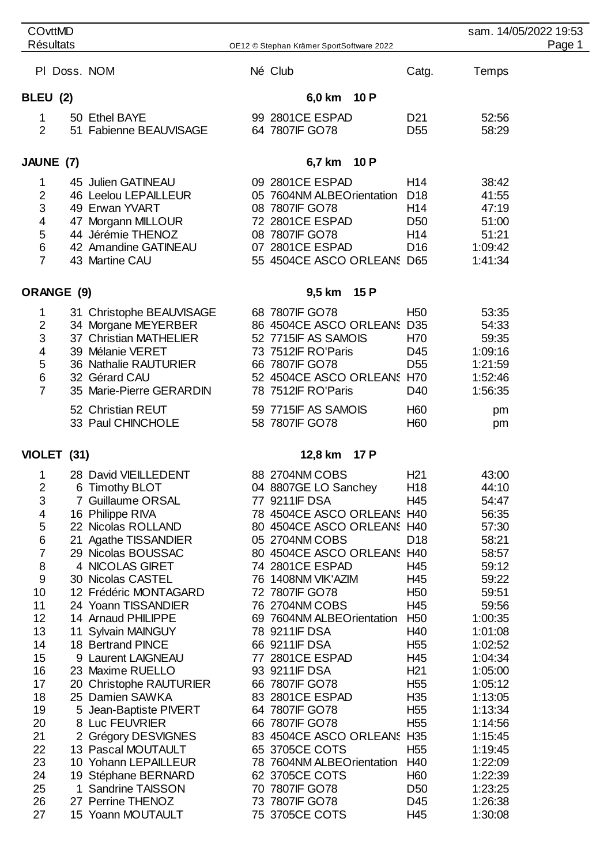| <b>COvttMD</b><br><b>Résultats</b> |  |                                              |  |                                                 | sam. 14/05/2022 19:53              |                    |        |
|------------------------------------|--|----------------------------------------------|--|-------------------------------------------------|------------------------------------|--------------------|--------|
|                                    |  |                                              |  | OE12 © Stephan Krämer SportSoftware 2022        |                                    |                    | Page 1 |
|                                    |  | PI Doss. NOM                                 |  | Né Club                                         | Catg.                              | Temps              |        |
| BLEU (2)                           |  |                                              |  | 6,0 km 10 P                                     |                                    |                    |        |
| 1                                  |  | 50 Ethel BAYE                                |  | 99 2801 CE ESPAD                                | D <sub>21</sub>                    | 52:56              |        |
| $\overline{2}$                     |  | 51 Fabienne BEAUVISAGE                       |  | 64 7807 IF GO78                                 | D <sub>55</sub>                    | 58:29              |        |
| JAUNE (7)                          |  |                                              |  | 10P<br>6,7 km                                   |                                    |                    |        |
| 1                                  |  | 45 Julien GATINEAU                           |  | 09 2801 CE ESPAD                                | H <sub>14</sub>                    | 38:42              |        |
| $\overline{2}$                     |  | 46 Leelou LEPAILLEUR                         |  | 05 7604NM ALBEOrientation D18                   |                                    | 41:55              |        |
| 3                                  |  | 49 Erwan YVART                               |  | 08 7807IF GO78                                  | H <sub>14</sub>                    | 47:19              |        |
| $\overline{\mathbf{4}}$<br>5       |  | 47 Morgann MILLOUR<br>44 Jérémie THENOZ      |  | 72 2801 CE ESPAD<br>08 7807IF GO78              | D <sub>50</sub><br>H <sub>14</sub> | 51:00<br>51:21     |        |
| 6                                  |  | 42 Amandine GATINEAU                         |  | 07 2801CE ESPAD                                 | D <sub>16</sub>                    | 1:09:42            |        |
| $\overline{7}$                     |  | 43 Martine CAU                               |  | 55 4504CE ASCO ORLEANS D65                      |                                    | 1:41:34            |        |
| ORANGE (9)                         |  |                                              |  | 9,5 km 15 P                                     |                                    |                    |        |
| 1                                  |  | 31 Christophe BEAUVISAGE                     |  | 68 7807 IF GO78                                 | H <sub>50</sub>                    | 53:35              |        |
| $\overline{\mathbf{c}}$            |  | 34 Morgane MEYERBER                          |  | 86 4504CE ASCO ORLEANS D35                      |                                    | 54:33              |        |
| 3                                  |  | 37 Christian MATHELIER                       |  | 52 7715IF AS SAMOIS                             | H70                                | 59:35              |        |
| 4<br>5                             |  | 39 Mélanie VERET<br>36 Nathalie RAUTURIER    |  | 73 7512IF RO'Paris<br>66 7807 IF GO78           | D45<br>D <sub>55</sub>             | 1:09:16<br>1:21:59 |        |
| 6                                  |  | 32 Gérard CAU                                |  | 52 4504CE ASCO ORLEANS H70                      |                                    | 1:52:46            |        |
| $\overline{7}$                     |  | 35 Marie-Pierre GERARDIN                     |  | 78 7512IF RO'Paris                              | D40                                | 1:56:35            |        |
|                                    |  | 52 Christian REUT                            |  | 59 7715IF AS SAMOIS                             | H <sub>60</sub>                    | pm                 |        |
|                                    |  | 33 Paul CHINCHOLE                            |  | 58 7807 IF GO78                                 | H <sub>60</sub>                    | pm                 |        |
| VIOLET (31)                        |  |                                              |  | 12,8 km<br>17 P                                 |                                    |                    |        |
| 1                                  |  | 28 David VIEILLEDENT                         |  | 88 2704NM COBS                                  | H <sub>21</sub>                    | 43:00              |        |
| 2                                  |  | 6 Timothy BLOT                               |  | 04 8807GE LO Sanchey                            | H18                                | 44:10              |        |
| 3<br>4                             |  | <b>7 Guillaume ORSAL</b><br>16 Philippe RIVA |  | 77 9211 IF DSA<br>78 4504CE ASCO ORLEANS H40    | H45                                | 54:47<br>56:35     |        |
| 5                                  |  | 22 Nicolas ROLLAND                           |  | 80 4504CE ASCO ORLEANS H40                      |                                    | 57:30              |        |
| 6                                  |  | 21 Agathe TISSANDIER                         |  | 05 2704NM COBS                                  | D <sub>18</sub>                    | 58:21              |        |
| $\overline{7}$                     |  | 29 Nicolas BOUSSAC                           |  | 80 4504CE ASCO ORLEANS H40                      |                                    | 58:57              |        |
| 8                                  |  | 4 NICOLAS GIRET                              |  | 74 2801 CE ESPAD                                | H45                                | 59:12              |        |
| 9                                  |  | 30 Nicolas CASTEL                            |  | 76 1408NM VIK'AZIM                              | H45                                | 59:22              |        |
| 10                                 |  | 12 Frédéric MONTAGARD                        |  | 72 7807 IF GO78                                 | H <sub>50</sub>                    | 59:51              |        |
| 11<br>12                           |  | 24 Yoann TISSANDIER<br>14 Arnaud PHILIPPE    |  | 76 2704NM COBS<br>69 7604NM ALBEOrientation H50 | H45                                | 59:56<br>1:00:35   |        |
| 13                                 |  | 11 Sylvain MAINGUY                           |  | 78 9211 IF DSA                                  | H40                                | 1:01:08            |        |
| 14                                 |  | 18 Bertrand PINCE                            |  | 66 9211 IF DSA                                  | H <sub>55</sub>                    | 1:02:52            |        |
| 15                                 |  | 9 Laurent LAIGNEAU                           |  | 77 2801 CE ESPAD                                | H45                                | 1:04:34            |        |
| 16                                 |  | 23 Maxime RUELLO                             |  | 93 9211 IF DSA                                  | H <sub>21</sub>                    | 1:05:00            |        |
| 17                                 |  | 20 Christophe RAUTURIER                      |  | 66 7807 IF GO78                                 | H <sub>55</sub>                    | 1:05:12            |        |
| 18<br>19                           |  | 25 Damien SAWKA<br>5 Jean-Baptiste PIVERT    |  | 83 2801 CE ESPAD<br>64 7807 IF GO78             | H <sub>35</sub><br>H <sub>55</sub> | 1:13:05<br>1:13:34 |        |
| 20                                 |  | 8 Luc FEUVRIER                               |  | 66 7807 IF GO78                                 | H <sub>55</sub>                    | 1:14:56            |        |
| 21                                 |  | 2 Grégory DESVIGNES                          |  | 83 4504CE ASCO ORLEANS H35                      |                                    | 1:15:45            |        |
| 22                                 |  | 13 Pascal MOUTAULT                           |  | 65 3705CE COTS                                  | H <sub>55</sub>                    | 1:19:45            |        |
| 23                                 |  | 10 Yohann LEPAILLEUR                         |  | 78 7604NM ALBEOrientation                       | H40                                | 1:22:09            |        |
| 24                                 |  | 19 Stéphane BERNARD                          |  | 62 3705CE COTS                                  | H <sub>60</sub>                    | 1:22:39            |        |
| 25<br>26                           |  | 1 Sandrine TAISSON<br>27 Perrine THENOZ      |  | 70 7807 IF GO78<br>73 7807IF GO78               | D <sub>50</sub><br>D45             | 1:23:25<br>1:26:38 |        |
| 27                                 |  | 15 Yoann MOUTAULT                            |  | 75 3705CE COTS                                  | H45                                | 1:30:08            |        |